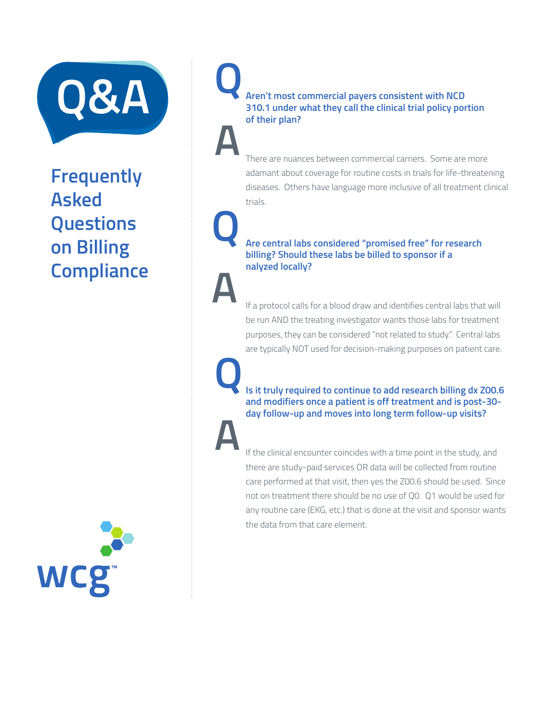

**Q**

**A**

**Q**

**A**

**Q**

**A**

## **Frequently Asked Questions on Billing Compliance**



## **Aren't most commercial payers consistent with NCD 310.1 under what they call the clinical trial policy portion of their plan?**

There are nuances between commercial carriers. Some are more adamant about coverage for routine costs in trials for life-threatening diseases. Others have language more inclusive of all treatment clinical trials.

## **Are central labs considered "promised free" for research billing? Should these labs be billed to sponsor if a nalyzed locally?**

If a protocol calls for a blood draw and identifies central labs that will be run AND the treating investigator wants those labs for treatment purposes, they can be considered "not related to study." Central labs are typically NOT used for decision-making purposes on patient care.

 **Is it truly required to continue to add research billing dx Z00.6 and modifiers once a patient is off treatment and is post-30 day follow-up and moves into long term follow-up visits?**

 If the clinical encounter coincides with a time point in the study, and there are study-paid services OR data will be collected from routine care performed at that visit, then yes the Z00.6 should be used. Since not on treatment there should be no use of Q0. Q1 would be used for any routine care (EKG, etc.) that is done at the visit and sponsor wants the data from that care element.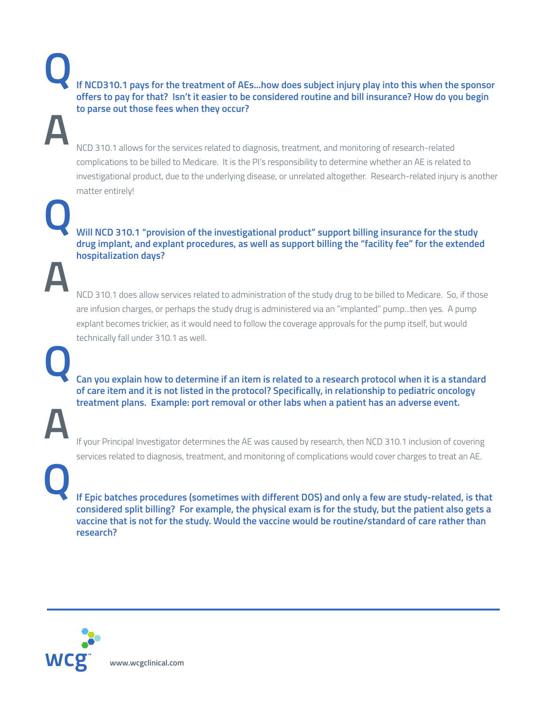**If NCD310.1 pays for the treatment of AEs...how does subject injury play into this when the sponsor offers to pay for that? Isn't it easier to be considered routine and bill insurance? How do you begin to parse out those fees when they occur?**

NCD 310.1 allows for the services related to diagnosis, treatment, and monitoring of research-related complications to be billed to Medicare. It is the PI's responsibility to determine whether an AE is related to investigational product, due to the underlying disease, or unrelated altogether. Research-related injury is another matter entirely!

 **Will NCD 310.1 "provision of the investigational product" support billing insurance for the study drug implant, and explant procedures, as well as support billing the "facility fee" for the extended hospitalization days?** 

NCD 310.1 does allow services related to administration of the study drug to be billed to Medicare. So, if those are infusion charges, or perhaps the study drug is administered via an "implanted" pump...then yes. A pump explant becomes trickier, as it would need to follow the coverage approvals for the pump itself, but would technically fall under 310.1 as well.

 **Can you explain how to determine if an item is related to a research protocol when it is a standard of care item and it is not listed in the protocol? Specifically, in relationship to pediatric oncology treatment plans. Example: port removal or other labs when a patient has an adverse event.**

If your Principal Investigator determines the AE was caused by research, then NCD 310.1 inclusion of covering services related to diagnosis, treatment, and monitoring of complications would cover charges to treat an AE.

 **If Epic batches procedures (sometimes with different DOS) and only a few are study-related, is that considered split billing? For example, the physical exam is for the study, but the patient also gets a vaccine that is not for the study. Would the vaccine would be routine/standard of care rather than research?**



**Q**

**A**

**Q**

**A**

**Q**

**A**

**Q**

**www.wcgclinical.com**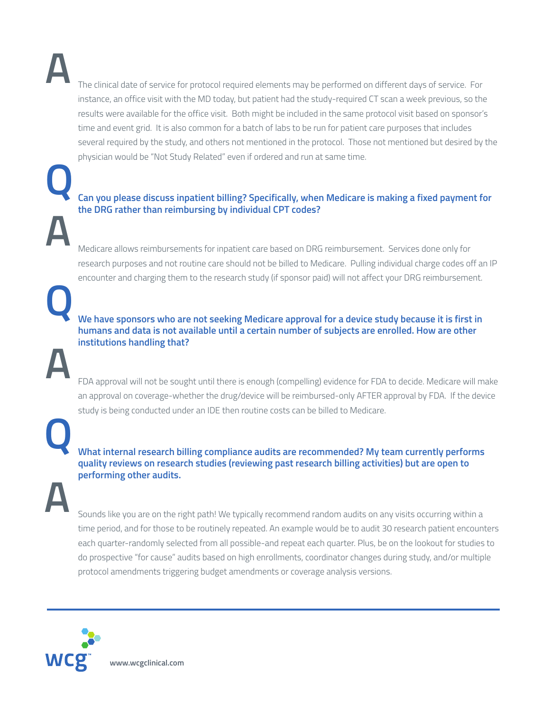**A**

**Q**

**A**

**Q**

**A**

The clinical date of service for protocol required elements may be performed on different days of service. For instance, an office visit with the MD today, but patient had the study-required CT scan a week previous, so the results were available for the office visit. Both might be included in the same protocol visit based on sponsor's time and event grid. It is also common for a batch of labs to be run for patient care purposes that includes several required by the study, and others not mentioned in the protocol. Those not mentioned but desired by the physician would be "Not Study Related" even if ordered and run at same time.

## **Can you please discuss inpatient billing? Specifically, when Medicare is making a fixed payment for the DRG rather than reimbursing by individual CPT codes?**

Medicare allows reimbursements for inpatient care based on DRG reimbursement. Services done only for research purposes and not routine care should not be billed to Medicare. Pulling individual charge codes off an IP encounter and charging them to the research study (if sponsor paid) will not affect your DRG reimbursement.

 **We have sponsors who are not seeking Medicare approval for a device study because it is first in humans and data is not available until a certain number of subjects are enrolled. How are other institutions handling that?**

FDA approval will not be sought until there is enough (compelling) evidence for FDA to decide. Medicare will make an approval on coverage-whether the drug/device will be reimbursed-only AFTER approval by FDA. If the device study is being conducted under an IDE then routine costs can be billed to Medicare.

 **What internal research billing compliance audits are recommended? My team currently performs quality reviews on research studies (reviewing past research billing activities) but are open to performing other audits.**

**A**

**Q**

Sounds like you are on the right path! We typically recommend random audits on any visits occurring within a time period, and for those to be routinely repeated. An example would be to audit 30 research patient encounters each quarter-randomly selected from all possible-and repeat each quarter. Plus, be on the lookout for studies to do prospective "for cause" audits based on high enrollments, coordinator changes during study, and/or multiple protocol amendments triggering budget amendments or coverage analysis versions.



**www.wcgclinical.com**